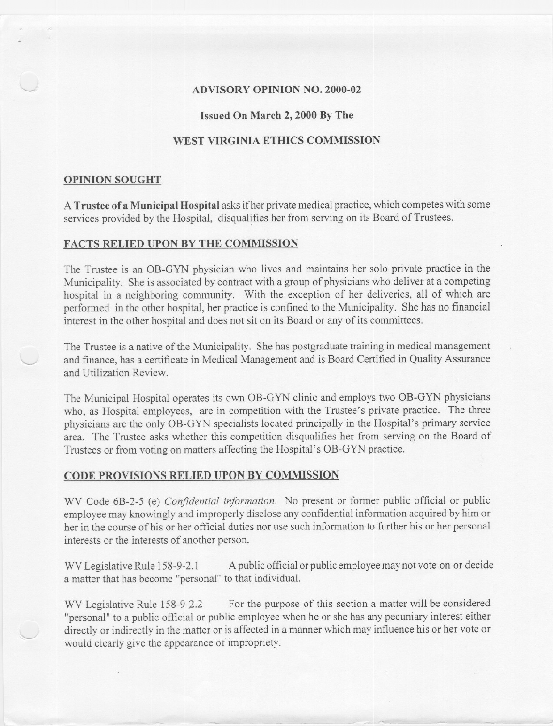## **ADVISORY OPINION NO. 2000-02**

### **Issued On March 2, 2000 By The**

## **WEST VIRGINIA ETHICS COMMISSION**

#### **OPINION SOUGHT**

A **Trustee of a Municipal Hospital** asks ifher private medical practice, which competes with some services provided by the Hospital, disqualifies her from serving on its Board of Trustees.

### **FACTS RELIED UPON BY THE COMMISSION**

The Trustee is an OB-GYN physician who lives and maintains her solo private practice in the Municipality. She is associated by contract with a group of physicians who deliver at a competing hospital in a neighboring community. With the exception of her deliveries, all of which are performed in the other hospital, her practice is confined to the Municipality. She has no financial interest in the other hospital and does not sit on its Board or any of its committees.

The Trustee is a native of the Municipality. She has postgraduate training in medical management and finance, has a certificate in Medical Management and is Board Certified in Quality Assurance and Utilization Review.

The Municipal Hospital operates its own OB-GYN clinic and employs two OB-GYN physicians who, as Hospital employees, are in competition with the Trustee's private practice. The three physicians are the only OB-GYN specialists located principally in the Hospital's primary service area. The Trustee asks whether this competition disqualifies her from serving on the Board of Trustees or from voting on matters affecting the Hospital's OB-GYN practice.

#### **CODE PROVISIONS RELIED UPON BY COMMISSION**

WV Code 6B-2-5 (e) *Confidential information.* No present or former public official or public employee may knowingly and improperly disclose any confidential information acquired by him or her in the course of his or her official duties nor use such information to further his or her personal interests or the interests of another person.

WV Legislative Rule 158-9-2.1 A public official or public employee may not vote on or decide a matter that has become "personal" to that individual.

WV Legislative Rule 158-9-2.2 For the purpose of this section a matter will be considered "personal" to a public official or public employee when he or she has any pecuniary interest either directly or indirectly in the matter or is affected in a manner which may influence his or her vote or would clearly give the appearance of impropriety.